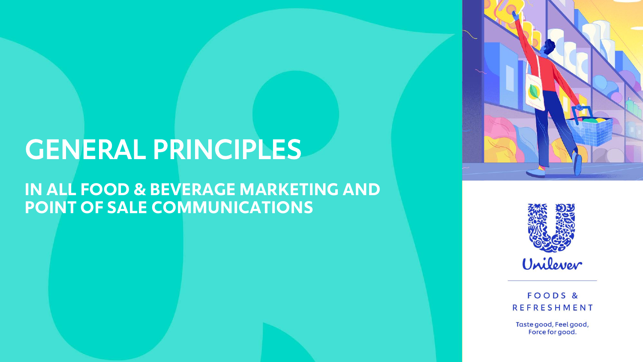## GENERAL PRINCIPLES

## IN ALL FOOD & BEVERAGE MARKETING AND POINT OF SALE COMMUNICATIONS





FOODS & **REFRESHMENT** 

Taste good, Feel good, Force for good.